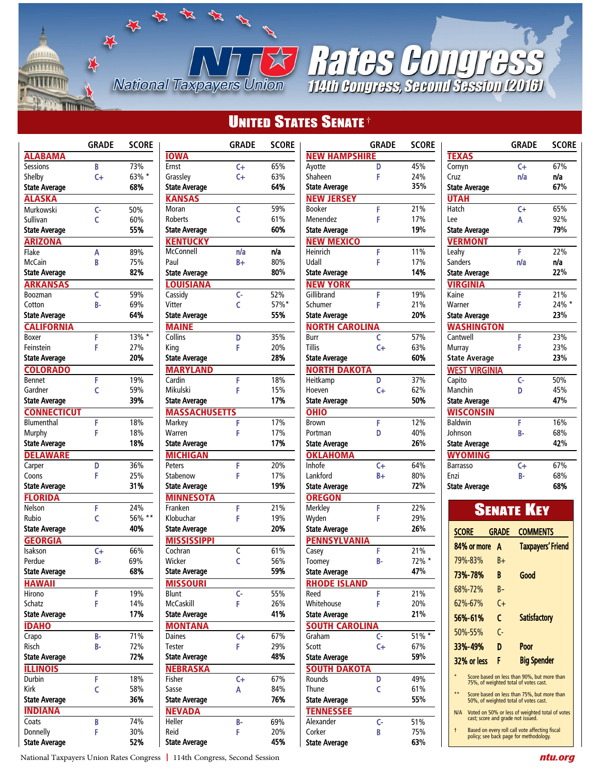# **UNITED STATES SENATE<sup>†</sup>**

|                      | <b>GRADE</b> | <b>SCORE</b> |
|----------------------|--------------|--------------|
| <b>ALABAMA</b>       |              |              |
| <b>Sessions</b>      | B            | 73%          |
| Shelby               | C+           | 63% *        |
| <b>State Average</b> |              | 68%          |
| <b>ALASKA</b>        |              |              |
| Murkowski            | c-           | 50%          |
| Sullivan             | Ċ            | 60%          |
| <b>State Average</b> |              | 55%          |
| <b>ARIZONA</b>       |              |              |
| Flake                | A            | 89%          |
| McCain               | B            | 75%          |
| <b>State Average</b> |              | 82%          |
| <b>ARKANSAS</b>      |              |              |
| Boozman              | Ċ            | 59%          |
| Cotton               | B-           | 69%          |
| <b>State Average</b> |              | 64%          |
| <b>CALIFORNIA</b>    |              |              |
| Boxer                | F            | $13\%$ *     |
| Feinstein            | F            | 27%          |
| <b>State Average</b> |              | 20%          |
| <b>COLORADO</b>      |              |              |
| <b>Bennet</b>        | F            | 19%          |
| Gardner              | c            | 59%          |
| <b>State Average</b> |              | 39%          |
| <b>CONNECTICUT</b>   |              |              |
| <b>Blumenthal</b>    | F            | 18%          |
| Murphy               | F            | 18%          |
| <b>State Average</b> |              | 18%          |
| <b>DELAWARE</b>      |              |              |
| Carper               | D            | 36%          |
| Coons                | F            | 25%          |
| <b>State Average</b> |              | 31%          |
| <b>FLORIDA</b>       |              |              |
| Nelson               | F            | 24%          |
| Rubio                | c            | 56% **       |
| <b>State Average</b> |              | 40%          |
| <b>GEORGIA</b>       |              |              |
| Isakson              | C+           | 66%          |
| Perdue               | B-           | 69%          |
| <b>State Average</b> |              | 68%          |
| <u>HAWAII</u>        |              |              |
| Hirono               | F            | 19%          |
| Schatz               | F            | 14%<br>17%   |
| <b>State Average</b> |              |              |
| <b>IDAHO</b>         |              |              |
| Crapo                | В-           | 71%          |
| Risch                | B-           | 72%<br>72%   |
| State Average        |              |              |
| ILLINOIS             |              |              |
| Durbin               | F            | 18%          |
| Kirk                 | c            | 58%<br>36%   |
| <b>State Average</b> |              |              |
| <b>INDIANA</b>       |              |              |
| Coats<br>Donnelly    | B<br>F       | 74%<br>30%   |
| <b>State Average</b> |              | 52%          |
|                      |              |              |

H<br>H

**National Taxpayers Union** 

 $\frac{1}{2}$ 

**GARAGE** 

**WILLIAM** 

|                           | GRADE                | <b>SCORE</b> |
|---------------------------|----------------------|--------------|
| <b>IOWA</b>               |                      |              |
| Ernst                     | $\mathsf{C}\text{+}$ | 65%          |
| Grassley                  | C+                   | 63%          |
| <b>State Average</b>      |                      | 64%          |
| <b>KANSAS</b>             |                      |              |
| Moran                     | c                    | 59%          |
| Roberts                   | Ċ                    | 61%          |
| <b>State Average</b>      |                      | 60%          |
| <b>KENTUCKY</b>           |                      |              |
| McConnell                 | n/a                  | n/a          |
| Paul                      | B+                   | 80%          |
| <b>State Average</b>      |                      | 80%          |
| <b>LOUISIANA</b>          |                      |              |
| Cassidy                   | c-                   | 52%          |
| Vitter                    | Ċ                    | 57%*         |
| State Average             |                      | 55%          |
| <b>MAINE</b>              |                      |              |
| Collins                   | D                    | 35%          |
| King                      | F                    | 20%          |
| <b>State Average</b>      |                      | 28%          |
| <b>MARYLAND</b>           |                      |              |
| Cardin                    | F                    | 18%          |
| Mikulski                  | F                    | 15%<br>17%   |
| <b>State Average</b>      |                      |              |
| <b>MASSACHUSET</b>        |                      |              |
| Markey<br>Warren          | F<br>F               | 17%<br>17%   |
| <b>State Average</b>      |                      | 17%          |
|                           |                      |              |
| <b>MICHIGAN</b><br>Peters |                      |              |
| Stabenow                  | F<br>F               | 20%<br>17%   |
| <b>State Average</b>      |                      | 19%          |
| <b>MINNESOTA</b>          |                      |              |
| Franken                   | F                    | 21%          |
| Klobuchar                 | F                    | 19%          |
| <b>State Average</b>      |                      | 20%          |
| <b>MISSISSIPPI</b>        |                      |              |
| Cochran                   | C                    | 61%          |
| Wicker                    | Ċ                    | 56%          |
| <b>State Average</b>      |                      | 59%          |
| <b>MISSOURI</b>           |                      |              |
| .<br>Blunt                | c-                   | 55%          |
| McCaskill                 | F                    | 26%          |
| <b>State Average</b>      |                      | 41%          |
| <b>MONTANA</b>            |                      |              |
| Daines                    | C+                   | 67%          |
| Tester                    | F                    | 29%          |
| <b>State Average</b>      |                      | 48%          |
| <b>NEBRASKA</b>           |                      |              |
| Fisher                    | C+                   | 67%          |
| Sasse                     | Α                    | 84%          |
| State Average             |                      | 76%          |
| <b>NEVADA</b>             |                      |              |
| Heller                    | B-                   | 69%          |
| Reid                      | F                    | 20%          |
| <b>State Average</b>      |                      | 45%          |
|                           |                      |              |

|                             | GRADE | <b>SCORE</b> |
|-----------------------------|-------|--------------|
| <b>NEW HAMPSHIRE</b>        |       |              |
| Ayotte                      | D     | 45%          |
| Shaheen                     | F     | 24%          |
| <b>State Average</b>        |       | 35%          |
| <b>NEW JERSEY</b>           |       |              |
| Booker                      | F     | 21%          |
| Menendez                    | F     | 17%          |
| <b>State Average</b>        |       | 19%          |
| <b>NEW MEXICO</b>           |       |              |
| Heinrich                    | F     | 11%          |
| Udall                       | F     | 17%          |
| <b>State Average</b>        |       | 14%          |
| <b>NEW YORK</b>             |       |              |
| Gillibrand                  | F     | 19%          |
| Schumer                     | F     | 21%          |
| State Average               |       | 20%          |
|                             |       |              |
| <b>NORTH CAROLINA</b>       |       |              |
| Burr                        | c     | 57%          |
| Tillis                      | C+    | 63%          |
| State Average               |       | 60%          |
| <b>NORTH DAKOTA</b>         |       |              |
| Heitkamp                    | D     | 37%          |
| Hoeven                      | C+    | 62%          |
| <b>State Average</b>        |       | 50%          |
| <u>OHIO</u>                 |       |              |
| Brown                       | F     | 12%          |
| Portman                     | D     | 40%          |
| <b>State Average</b>        |       | 26%          |
| <b>OKLAHOMA</b>             |       |              |
| Inhofe                      | $C +$ | 64%          |
| Lankford                    | B+    | 80%          |
| <b>State Average</b>        |       | 72%          |
| <b>OREGON</b>               |       |              |
| Merkley                     | F     | 22%          |
| Wyden                       | F     | 29%          |
| <b>State Average</b>        |       | 26%          |
| <b>PENNSYLVANIA</b>         |       |              |
| Casey                       | F     | 21%          |
| Toomey                      | В-    | 72% *        |
| <b>State Average</b>        |       | 47%          |
|                             |       |              |
| <b>RHODE ISLAND</b><br>Reed | F     | 21%          |
| Whitehouse                  |       | 20%          |
| <b>State Average</b>        | F     | 21%          |
|                             |       |              |
| <b>SOUTH</b><br><b>CARO</b> |       |              |
| Graham                      | C-    | 51% *        |
| Scott                       | $C +$ | 67%          |
| <b>State Average</b>        |       | 59%          |
| <b>SOUTH DAKOTA</b>         |       |              |
| Rounds                      | D     | 49%          |
| Thune                       | c     | 61%          |
| <b>State Average</b>        |       | 55%          |
| <b>TENNESSEE</b>            |       |              |
| Alexander                   | c-    | 51%          |
| Corker                      | B     | 75%          |
| <b>State Average</b>        |       | 63%          |
|                             |       |              |

**STERRIES CONTRESS** 

|                       | <b>GRADE</b> | <b>SCORE</b> |
|-----------------------|--------------|--------------|
| <b>TEXAS</b>          |              |              |
| Cornyn                | $C +$        | 67%          |
| Cruz                  | n/a          | n/a          |
| State Average         |              | 67%          |
| <b>UTAH</b>           |              |              |
| Hatch                 | $C +$        | 65%          |
| Lee                   | Α            | 92%          |
| State Average         |              | 79%          |
| <b>VERMONT</b>        |              |              |
| Leahy                 | F            | 22%          |
| Sanders               | n/a          | n/a          |
| <b>State Average</b>  |              | 22%          |
| <b>VIRGINIA</b>       |              |              |
| Kaine                 | F            | 21%          |
| Warner                | F            | $24\%$ *     |
| <b>State Average</b>  |              | 23%          |
| WASHINGTON            |              |              |
| Cantwell              | F            | 23%          |
| Murray                | F            | 23%          |
| <b>State Average</b>  |              | 23%          |
| WES <u>T VIRGINIA</u> |              |              |
| Capito                | Ċ-           | 50%          |
| Manchin               | Ď            | 45%          |
| <b>State Average</b>  |              | 47%          |
| WISCONSIN             |              |              |
| <b>Baldwin</b>        | F            | 16%          |
| Johnson               | В-           | 68%          |
| <b>State Average</b>  |              | 42%          |
| WYOMING               |              |              |
| Barrasso              | $C +$        | 67%          |
| Fnzi                  | В-           | 68%          |
| <b>State Average</b>  |              | 68%          |

| <b>SENATE KEY</b> |                                   |                        |                                                                                          |  |
|-------------------|-----------------------------------|------------------------|------------------------------------------------------------------------------------------|--|
| SCORE             |                                   | <b>GRADE</b>           | <b>COMMENTS</b>                                                                          |  |
|                   | 84% or more                       | Δ                      | <b>Taxpayers' Friend</b>                                                                 |  |
|                   | 79%-83%                           | R+                     |                                                                                          |  |
|                   | 73%-78%                           | R                      | Good                                                                                     |  |
|                   | 68%-72%                           | R-                     |                                                                                          |  |
|                   | $62\% - 67\%$                     | $C+$                   |                                                                                          |  |
|                   | 56%-61%                           | C                      | <b>Satisfactory</b>                                                                      |  |
|                   | 50%-55%                           | $\mathsf{C}\mathsf{-}$ |                                                                                          |  |
|                   | 33%-49%                           | D                      | Poor                                                                                     |  |
|                   | 32% or less                       | F.                     | <b>Big Spender</b>                                                                       |  |
| ٠                 |                                   |                        | Score based on less than 90%, but more than<br>75%, of weighted total of votes cast.     |  |
| **                |                                   |                        | Score based on less than 75%, but more than<br>50%, of weighted total of votes cast.     |  |
| N/A               | cast; score and grade not issued. |                        | Voted on 50% or less of weighted total of votes                                          |  |
| $\ddagger$        |                                   |                        | Based on every roll call vote affecting fiscal<br>policy; see back page for methodology. |  |

National Taxpayers Union Rates Congress **|** 114th Congress, Second Session *ntu.org*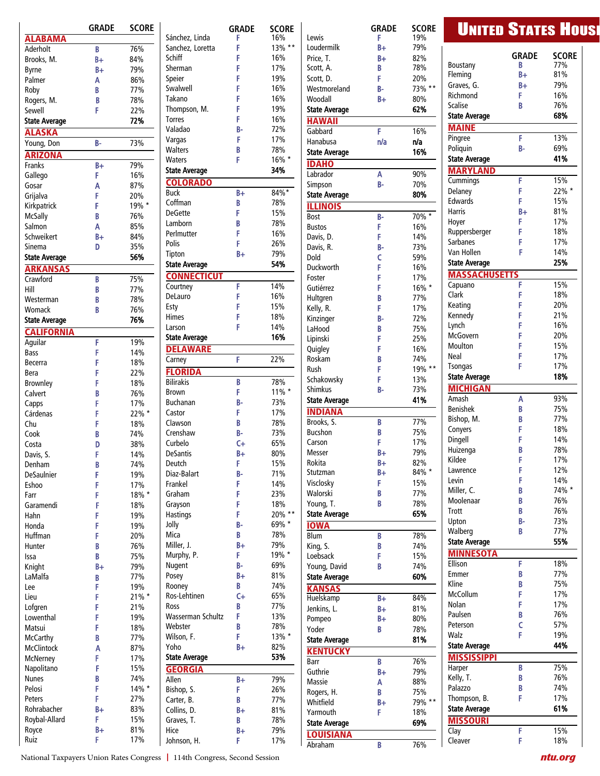|                       | <b>GRADE</b> | <b>SCORE</b> |                          | <b>GRADE</b> | <b>SCOR</b> |
|-----------------------|--------------|--------------|--------------------------|--------------|-------------|
| <b>ALABAMA</b>        |              |              | Sánchez, Linda           | F            | 16%         |
| Aderholt              | B            | 76%          | Sanchez, Loretta         | F            | 13%'        |
| Brooks, M.            | B+           | 84%          | Schiff<br><b>Sherman</b> | F<br>F       | 16%<br>17%  |
| <b>Byrne</b>          | $B+$         | 79%          | Speier                   | F            | 19%         |
| Palmer                | Α<br>B       | 86%<br>77%   | Swalwell                 | F            | 16%         |
| Roby<br>Rogers, M.    | B            | 78%          | Takano                   | F            | 16%         |
| Sewell                | F            | 22%          | Thompson, M.             | F            | 19%         |
| <b>State Average</b>  |              | 72%          | <b>Torres</b>            | F            | 16%         |
| <b>ALASKA</b>         |              |              | Valadao                  | B-           | 72%         |
| Young, Don            | $B -$        | 73%          | Vargas                   | F            | 17%         |
| <b>ARIZONA</b>        |              |              | <b>Walters</b>           | B            | 78%         |
| <b>Franks</b>         | $B +$        | 79%          | <b>Waters</b>            | F            | 16% *       |
| Gallego               | F            | 16%          | <b>State Average</b>     |              | 34%         |
| Gosar                 | A            | 87%          | <b>COLORADO</b>          |              |             |
| Grijalva              | F            | 20%          | <b>Buck</b>              | B+           | 84%*        |
| Kirkpatrick           | F            | 19% *        | Coffman                  | B            | 78%         |
| McSally               | B            | 76%          | <b>DeGette</b>           | F            | 15%         |
| Salmon                | Α            | 85%          | Lamborn                  | B            | 78%         |
| Schweikert            | B+           | 84%          | Perlmutter               | F            | 16%         |
| Sinema                | D            | 35%          | Polis                    | F            | 26%         |
| <b>State Average</b>  |              | 56%          | Tipton                   | $B+$         | 79%         |
| <b>ARKANSAS</b>       |              |              | <b>State Average</b>     |              | 54%         |
| Crawford              | B            | 75%          | <b>CONNECTICUT</b>       |              |             |
| Hill                  | B            | 77%          | Courtney                 | F            | 14%         |
| Westerman             | B            | 78%          | DeLauro                  | F            | 16%         |
| Womack                | B            | 76%          | Esty                     | F            | 15%         |
| <b>State Average</b>  |              | 76%          | <b>Himes</b>             | F            | 18%         |
| <b>CALIFORNIA</b>     |              |              | Larson                   | F            | 14%         |
| Aguilar               | F            | 19%          | <b>State Average</b>     |              | 16%         |
| Bass                  | F            | 14%          | <b>DELAWARE</b>          |              |             |
| Becerra               | F            | 18%          | Carney                   | F            | 22%         |
| Bera                  | F            | 22%          | <b>FLORIDA</b>           |              |             |
| Brownley              | F            | 18%          | <b>Bilirakis</b>         | B            | 78%         |
| Calvert               | B            | 76%          | <b>Brown</b>             | F            | 11%'        |
| Capps                 | F            | 17%          | <b>Buchanan</b>          | B-           | 73%         |
| Cárdenas              | F            | 22% *        | Castor                   | F            | 17%         |
| Chu                   | F            | 18%          | Clawson                  | B<br>B-      | 78%         |
| Cook                  | B            | 74%          | Crenshaw<br>Curbelo      | $C +$        | 73%<br>65%  |
| Costa<br>Davis, S.    | D<br>F       | 38%<br>14%   | <b>DeSantis</b>          | $B +$        | 80%         |
| Denham                | B            | 74%          | Deutch                   | F            | 15%         |
| <b>DeSaulnier</b>     | F            | 19%          | Diaz-Balart              | B-           | 71%         |
| Eshoo                 | F            | 17%          | Frankel                  | F            | 14%         |
| Farr                  | F            | 18% *        | Graham                   | F            | 23%         |
| Garamendi             | F            | 18%          | Grayson                  | F            | 18%         |
| Hahn                  | F            | 19%          | Hastings                 | F.           | 20% '       |
| Honda                 | F            | 19%          | Jolly                    | B-           | 69% *       |
| Huffman               | F            | 20%          | Mica                     | B            | 78%         |
| Hunter                | B            | 76%          | Miller, J.               | $B+$         | 79%         |
| Issa                  | B            | 75%          | Murphy, P.               | F            | 19% *       |
| Knight                | $B +$        | 79%          | Nugent                   | B-           | 69%         |
| LaMalfa               | B            | 77%          | Posey                    | $B +$        | 81%         |
| Lee                   | F            | 19%          | Rooney                   | B            | 74%         |
| Lieu                  | F            | 21% *        | Ros-Lehtinen             | $C +$        | 65%         |
| Lofgren               | F            | 21%          | Ross                     | B            | 77%         |
| Lowenthal             | F            | 19%          | Wasserman Schultz        | F            | 13%         |
| Matsui                | F            | 18%          | Webster                  | B            | 78%         |
| McCarthy              | B            | 77%          | Wilson, F.               | F            | 13%'        |
| <b>McClintock</b>     | A            | 87%          | Yoho                     | $B +$        | 82%         |
| McNerney              | F            | 17%          | <b>State Average</b>     |              | 53%         |
| Napolitano            | F            | 15%          | <b>GEORGIA</b>           |              |             |
| <b>Nunes</b>          | B<br>F       | 74%          | Allen                    | $B +$        | 79%         |
| Pelosi                | F            | 14% *        | Bishop, S.               | F            | 26%         |
| Peters<br>Rohrabacher | B+           | 27%<br>83%   | Carter, B.               | B            | 77%         |
| Roybal-Allard         | F            | 15%          | Collins, D.              | B+           | 81%<br>78%  |
| Royce                 | B+           | 81%          | Graves, T.<br>Hice       | B<br>$B+$    | 79%         |
| Ruiz                  | F            | 17%          | Johnson, H.              | F            | 17%         |
|                       |              |              |                          |              |             |

**GRADE** Lewis **F** 19%<br>Loudermilk **B**+ 79% Loudermilk Price, T.<br>Scott. A. 8 18 18 18 18 Scott, A. B Scott, D. F 20% Westmoreland B- 73% \*\* Woodall **B**+ 80% State Average 62% HAWAII Gabbard F 16% Hanabusa n/a n/a State Average 16% **IDAHO** Labrador **A** 90% Simpson **B**- 70%<br>State Average 80% **State Average ILLINOIS** Bost B- 70%<br>Bustos F 16% Bustos F 16% Davis, D. F 14% Davis, R. **B-** 73% Dold C 59% Duckworth F 16% Foster F 17% Gutiérrez F B-C F F F 16% \* Hultgren **B** 77% Kelly, R. **F.** 17% Kinzinger B- 72% LaHood **B** 75% Lipinski **F**... 25% Quigley **F** 16% Roskam B- 74% Rush F. 19% \*\* Schakowsky F.. 13% Shimkus **B-** 73% State Average 41% INDIANA Brooks, S. **B** 77% Bucshon **B** 75% Carson F. 17% Messer B+ 79% Rokita B+ 82% Stutzman Visclosky F. 15% Walorski **B.. 77%** Young, T. B 78% State Average 65% IOWA Blum **B** 78% King, S. **B** 74% Loebsack F.. 15% Young, David **B.. 74%** State Average 60% KANSAS Huelskamp B+ 84% Jenkins, L. B+ 81% Pompeo B+ 80% Yoder **B** 78% State Average 81% **KENTUCKY** Barr **B** 76% Guthrie B+ 79% Massie **A** 88% Rogers, H.<br>Whitfield  $B_+$  79% \*\* Whitfield **B+** Yarmouth F 18% State Average 69% **LOUISIANA** Abraham **B** 76%

 $F$  13%  $**$ F 16%<br>F 17% F 17%<br>F 19%

F 20% \*\* B- 69% \*<br>B 78% B 78%<br>B+ 79% **B+** 79%<br>**F** 19%  $\begin{array}{lll} \text{F} & 19\% \\ \text{B} & 69\% \end{array}$ 69%

#### GRADE SCORE<br>B 77% Boustany B 77%<br>Fleming B+ 81% Fleming **B**+ Graves, G. 8+ 79% Richmond F... 16% Scalise **B** 76% State Average 68% MAINE Pingree F... 13% Poliquin **B-** 69% State Average 41% MARYLAND Cummings F.. 15% Delaney F. 22% \* Edwards F... 15% Harris **B**+ 81% Hoyer F. 17% Ruppersberger F. 18% Sarbanes F.. 17% Van Hollen F. 14% State Average
25% **MASSACHUSETTS** Capuano F. 15% Clark **F** 18% Keating F. 20% Kennedy F. 21% Lynch **F** 16% McGovern F. 20% Moulton F. 15% Neal **F** 17% Tsongas F.. 17% State Average
18% **MICHIGAN** Amash A. 93% Benishek **B** 75% Bishop, M.. **B.. 77%** Conyers F. 18% Dingell F... 14% Huizenga B 78% Kildee **F.. 17%** Lawrence F. 12% Levin F. 14% Miller, C. B 74% \* Moolenaar B 76% Trott B 76% Upton **B-** 73% Walberg. **B.. 77%** State Average
55% **MINNESOTA** Ellison F. 18% Emmer **B** 77% Kline **B** 75% McCollum F. 17% Nolan **F** 17% Paulsen **B** 76% Peterson C<sub>57%</sub> Walz **F** 19% State Average
144% **MISSISSIPPI** Harper **B** 75% Kelly, T. **B.** 76% Palazzo B. 74% Thompson, B... F... 17% State Average 61% **MISSOURI** Clay **F** 15% Cleaver F. 18% SCORE <sub>Lewis</sub> GRADE SCORE **UNITED STATES HOUSE**

National Taxpayers Union Rates Congress **|** 114th Congress, Second Session *ntu.org*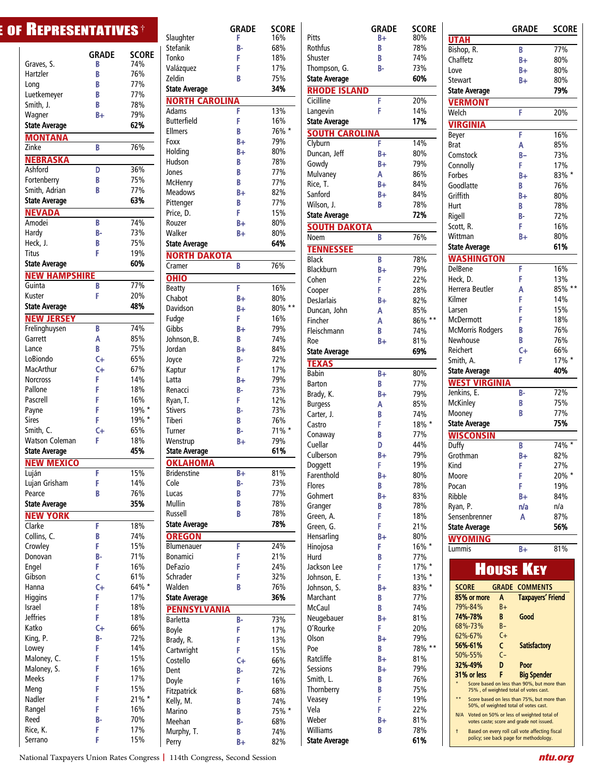| Graves, S.                         | <b>GRADE</b><br>B | SCORE<br>74% |
|------------------------------------|-------------------|--------------|
| Hartzler                           | B                 | 76%          |
| Long                               | B                 | 77%          |
| Luetkemeyer                        | B                 | 77%          |
| Smith, J.                          | B                 | 78%          |
| Wagner                             | B+                | 79%          |
| <b>State Average</b>               |                   | 62%          |
| <b>MONTANA</b>                     |                   |              |
| Zinke                              | B                 | 76%          |
| <b>NEBRASKA</b>                    |                   |              |
| Ashford                            | D                 | 36%          |
| Fortenberry                        | B                 | 75%          |
| Smith, Adrian                      | B                 | 77%          |
| <b>State Average</b>               |                   | 63%          |
| <b>NEVADA</b>                      |                   |              |
| Amodei                             | B                 | 74%          |
| Hardv                              | B-                | 73%          |
| Heck, J.                           | B                 | 75%          |
| Titus                              | F                 | 19%          |
| <b>State Average</b>               |                   | 60%          |
| <b>NEW HAMPSHIRE</b>               |                   |              |
| Guinta                             | B                 | 77%          |
| Kuster                             | F                 | 20%          |
| <b>State Average</b>               |                   | 48%          |
| <b>NEW JERSEY</b>                  |                   |              |
| Frelinghuysen                      | B                 | 74%          |
| Garrett                            | A                 | 85%          |
| Lance                              | B                 | 75%          |
| LoBiondo                           | C+                | 65%          |
| MacArthur                          | C+                | 67%          |
| <b>Norcross</b>                    | F                 | 14%          |
| Pallone                            | F                 | 18%          |
| Pascrell                           | F                 | 16%          |
| Payne                              | F                 | 19% *        |
| <b>Sires</b>                       | F                 | 19% *        |
| Smith, C.<br><b>Watson Coleman</b> | C+<br>F           | 65%<br>18%   |
| <b>State Average</b>               |                   | 45%          |
|                                    |                   |              |
| NEW MEXICO<br>Luján                | Ë                 | 15%          |
| Lujan Grisham                      | F                 | 14%          |
| Pearce                             | В                 | 76%          |
| <b>State Average</b>               |                   | 35%          |
|                                    |                   |              |
| <b>NEW YORK</b><br>Clarke          | F                 | 18%          |
| Collins, C.                        | В                 | 74%          |
| Crowley                            | F                 | 15%          |
| Donovan                            | B-                | 71%          |
| Engel                              | F                 | 16%          |
| Gibson                             | Ċ                 | 61%          |
| Hanna                              | $C +$             | 64% *        |
| Higgins                            | F                 | 17%          |
| Israel                             | F                 | 18%          |
| <b>Jeffries</b>                    | F                 | 18%          |
| Katko                              | $C +$             | 66%          |
| King, P.                           | B-                | 72%          |
| Lowey                              | F                 | 14%          |
| Maloney, C.                        | F                 | 15%          |
| Maloney, S.                        | F                 | 16%          |
| <b>Meeks</b>                       | F                 | 17%          |
| Meng                               | F                 | 15%          |
| Nadler                             | F                 | 21% *        |
| Rangel                             | F                 | 16%          |
| Reed                               | В-                | 70%          |
| Rice, K.                           | F                 | 17%          |
| Serrano                            | F                 | 15%          |

|                       | $\epsilon$ of Representatives $^*$ |              |                                      | <b>GRADE</b> | <b>SCORE</b> |
|-----------------------|------------------------------------|--------------|--------------------------------------|--------------|--------------|
|                       |                                    |              | Slaughter                            | F.           | 16%          |
|                       | <b>GRADE</b>                       | <b>SCORE</b> | Stefanik<br>Tonko                    | B-<br>F      | 68%<br>18%   |
| Graves, S.            | B                                  | 74%          |                                      | F            | 17%          |
| Hartzler              | B                                  | 76%          | Valázquez<br>Zeldin                  | B            | 75%          |
| Long                  | B                                  | 77%          |                                      |              | 34%          |
| Luetkemeyer           | B                                  | 77%          | <b>State Average</b>                 |              |              |
| Smith, J.             | B                                  | 78%          | <b>NORTH CAROLINA</b>                |              |              |
| Wagner                | $B +$                              | 79%          | Adams                                | F            | 13%          |
| <b>State Average</b>  |                                    | 62%          | <b>Butterfield</b><br><b>Ellmers</b> | F<br>B       | 16%<br>76% * |
| <b>MONTANA</b>        |                                    |              | Foxx                                 | B+           | 79%          |
| Zinke                 | B                                  | 76%          | Holding                              | B+           | 80%          |
| <b>NEBRASKA</b>       |                                    |              | Hudson                               | B            | 78%          |
| Ashford               | D                                  | 36%          | Jones                                | B            | 77%          |
| Fortenberry           | B                                  | 75%          | McHenry                              | B            | 77%          |
| Smith, Adrian         | B                                  | 77%          | <b>Meadows</b>                       | $B +$        | 82%          |
| <b>State Average</b>  |                                    | 63%          | Pittenger                            | B            | 77%          |
| <b>NEVADA</b>         |                                    |              | Price, D.                            | F.           | 15%          |
| Amodei                | B                                  | 74%          | Rouzer                               | $B +$        | 80%          |
| Hardy                 | <b>B-</b>                          | 73%          | Walker                               | $B+$         | 80%          |
| Heck, J.              | B                                  | 75%          | <b>State Average</b>                 |              | 64%          |
| <b>Titus</b>          | F                                  | 19%          | <b>NORTH DAKOTA</b>                  |              |              |
| <b>State Average</b>  |                                    | 60%          | Cramer                               | B            | 76%          |
| <b>NEW HAMPSHIRE</b>  |                                    |              |                                      |              |              |
| Guinta                | B                                  | 77%          | <b>OHIO</b>                          |              |              |
| Kuster                | F                                  | 20%          | Beatty                               | F            | 16%          |
| <b>State Average</b>  |                                    | 48%          | Chabot                               | $B+$         | 80%          |
| <b>NEW JERSEY</b>     |                                    |              | <b>Davidson</b>                      | $B +$<br>F.  | 80% **       |
| Frelinghuysen         | B                                  | 74%          | Fudge<br>Gibbs                       | $B +$        | 16%<br>79%   |
| Garrett               | А                                  | 85%          | Johnson, B.                          | B.           | 74%          |
| Lance                 | B                                  | 75%          | Jordan                               | $B +$        | 84%          |
| LoBiondo              | $C +$                              | 65%          | Joyce                                | B-           | 72%          |
| <b>MacArthur</b>      | $C +$                              | 67%          | Kaptur                               | F.           | 17%          |
| <b>Norcross</b>       | F                                  | 14%          | Latta                                | $B+$         | 79%          |
| Pallone               | F                                  | 18%          | Renacci                              | B-           | 73%          |
| Pascrell              | F                                  | 16%          | Ryan, T.                             | F.           | 12%          |
| Payne                 | F                                  | 19% *        | <b>Stivers</b>                       | B-           | 73%          |
| <b>Sires</b>          | F                                  | 19% *        | Tiberi                               | B.           | 76%          |
| Smith, C.             | $C +$                              | 65%          | Turner                               | <b>B-</b>    | 71% *        |
| <b>Watson Coleman</b> | F                                  | 18%          | Wenstrup                             | $B +$        | 79%          |
| <b>State Average</b>  |                                    | 45%          | <b>State Average</b>                 |              | 61%          |
| <b>NEW MEXICO</b>     |                                    |              | <b>OKLAHOMA</b>                      |              |              |
| Luján                 | F                                  | 15%          | <b>Bridenstine</b>                   | $B+$         | 81%          |
| Lujan Grisham         | F                                  | 14%          | Cole                                 | <b>B-</b>    | 73%          |
| Pearce                | B                                  | 76%          | Lucas                                | B            | 77%          |
| <b>State Average</b>  |                                    | 35%          | Mullin                               | B            | 78%          |
| <b>NEW YORK</b>       |                                    |              | Russell                              | B            | 78%          |
| Clarke                | F                                  | 18%          | <b>State Average</b>                 |              | 78%          |
| Collins, C.           | B                                  | 74%          | <b>OREGON</b>                        |              |              |
| Crowley               | F                                  | 15%          | Blumenauer                           | F            | 24%          |
| Donovan               | В-                                 | 71%          | <b>Bonamici</b>                      | F            | 21%          |
| Engel                 | F                                  | 16%          | <b>DeFazio</b>                       | F            | 24%          |
| Gibson                | Ċ                                  | 61%          | Schrader                             | F            | 32%          |
| Hanna                 | $C +$                              | 64% *        | Walden                               | B            | 76%          |
| <b>Higgins</b>        | F                                  | 17%          | <b>State Average</b>                 |              | 36%          |
| Israel                | F                                  | 18%          | <b>PENNSYLVANIA</b>                  |              |              |
| <b>Jeffries</b>       | F                                  | 18%          | Barletta                             | B-           | 73%          |
| Katko                 | $C +$                              | 66%          | Boyle                                | F            | 17%          |
| King, P.              | <b>B-</b>                          | 72%          | Brady, R.                            | F            | 13%          |
| Lowey                 | F                                  | 14%          | Cartwright                           | F.           | 15%          |
| Maloney, C.           | F                                  | 15%          | Costello                             | $C +$        | 66%          |
| Maloney, S.           | F                                  | 16%          | Dent                                 | B-           | 72%          |
| <b>Meeks</b>          | F                                  | 17%          | Doyle                                | F            | 16%          |
| Meng                  | F                                  | 15%          | Fitzpatrick                          | B-           | 68%          |
| Nadler                | F                                  | 21% *        | Kelly, M.                            | B            | 74%          |
| Rangel                | F                                  | 16%          | Marino                               | B            | 75% *        |
| Reed                  | B-                                 | 70%          | Meehan                               | B-           | 68%          |
| Rice, K.              | F<br>F                             | 17%          | Murphy, T.                           | B.           | 74%          |
| Serrano               |                                    | 15%          | Perry                                | $B+$         | 82%          |

|                                       | GRADE      | <b>SCORE</b>  |
|---------------------------------------|------------|---------------|
| Pitts                                 | B+         | 80%           |
| <b>Rothfus</b>                        | B          | 78%           |
| Shuster                               | B          | 74%           |
| Thompson, G.                          | В-         | 73%           |
| <b>State Average</b>                  |            | 60%           |
| <b>RHODE ISLAND</b>                   |            |               |
| Cicilline                             | F<br>F     | 20%<br>14%    |
| Langevin<br><b>State Average</b>      |            | 17%           |
| <b>SOUTH CARO</b>                     |            |               |
| Clyburn                               | F          | 14%           |
| Duncan, Jeff                          | B+         | 80%           |
| Gowdy                                 | B+         | 79%           |
| Mulvaney                              | Α          | 86%           |
| Rice, T.                              | $B+$       | 84%           |
| Sanford                               | B+         | 84%           |
| Wilson, J.                            | B          | 78%           |
| <b>State Average</b>                  |            | 72%           |
| <b>SOUTH</b><br><b>DAKOTA</b><br>Noem | B          | 76%           |
|                                       |            |               |
| <b>TENNESSEE</b><br><b>Black</b>      | B          | 78%           |
| <b>Blackburn</b>                      | B+         | 79%           |
| Cohen                                 | F          | 22%           |
| Cooper                                | F          | 28%           |
| <b>DesJarlais</b>                     | B+         | 82%           |
| Duncan, John                          | A          | 85%           |
| Fincher                               | A          | $86\%$ **     |
| Fleischmann                           | B          | 74%<br>81%    |
| Roe<br><b>State Average</b>           | B+         | 69%           |
| <b>TEXAS</b>                          |            |               |
| Babin                                 | B+         | 80%           |
| <b>Barton</b>                         | B          | 77%           |
| Brady, K.                             | $B+$       | 79%           |
| <b>Burgess</b>                        | A          | 85%           |
| Carter, J.                            | B          | 74%           |
| Castro                                | F          | 18% *         |
| Conaway                               | B          | 77%           |
| Cuellar<br>Culberson                  | D<br>B+    | 44%<br>79%    |
| Doggett                               | F          | 19%           |
| Farenthold                            | B+         | 80%           |
| <b>Flores</b>                         | B          | 78%           |
| Gohmert                               | B+         | 83%           |
| Granger                               | B          | 78%           |
| Green, A.                             | F          | 18%           |
| Green, G.                             | F          | 21%           |
| Hensarling                            | $B +$<br>F | 80%<br>16% *  |
| Hinojosa<br>Hurd                      | B          | 77%           |
| Jackson Lee                           | F          | 17% *         |
| Johnson, E.                           | F          | 13% *         |
| Johnson, S.                           | $B+$       | $83\%$ *      |
| Marchant                              | В          | 77%           |
| McCaul                                | B          | 74%           |
| Neugebauer                            | $B+$       | 81%           |
| O'Rourke                              | F          | 20%           |
| Olson<br>Poe                          | B+<br>B    | 79%<br>78% ** |
| Ratcliffe                             | B+         | 81%           |
| <b>Sessions</b>                       | B+         | 79%           |
| Smith, L.                             | B          | 76%           |
| Thornberry                            | B          | 75%           |
| Veasey                                | F          | 19%           |
| Vela                                  | F          | 22%           |
| Weber                                 | B+         | 81%           |
| Williams<br><b>State Average</b>      | B          | 78%<br>61%    |
|                                       |            |               |

|                                                                                               | <b>GRADE</b>             | <b>SCORE</b> |
|-----------------------------------------------------------------------------------------------|--------------------------|--------------|
| <b>UTAH</b>                                                                                   |                          |              |
| Bishop, R.                                                                                    | B                        | 77%          |
| Chaffetz                                                                                      | B+                       | 80%          |
| Love                                                                                          | B+                       | 80%          |
| Stewart                                                                                       | B+                       | 80%          |
| <b>State Average</b>                                                                          |                          | 79%          |
|                                                                                               |                          |              |
| <b>VERMONT</b>                                                                                |                          |              |
| Welch                                                                                         | F                        | 20%          |
| <b>VIRGINIA</b>                                                                               |                          |              |
| Beyer                                                                                         | F                        | 16%          |
| <b>Brat</b>                                                                                   | A                        | 85%          |
| Comstock                                                                                      | $B -$                    | 73%          |
| Connolly                                                                                      | F                        | 17%          |
| <b>Forbes</b>                                                                                 | B+                       | $83\%$ *     |
| Goodlatte                                                                                     | B                        | 76%          |
| Griffith                                                                                      | B+                       | 80%          |
| Hurt                                                                                          | B                        | 78%          |
| Rigell                                                                                        | B-                       | 72%          |
|                                                                                               | F                        |              |
| Scott, R.                                                                                     |                          | 16%          |
| Wittman                                                                                       | B+                       | 80%          |
| <b>State Average</b>                                                                          |                          | 61%          |
| <b>WASHINGTON</b>                                                                             |                          |              |
| <b>DelBene</b>                                                                                | F                        | 16%          |
| Heck, D.                                                                                      | F                        | 13%          |
| Herrera Beutler                                                                               | A                        | $85\%$ *     |
| Kilmer                                                                                        | F                        | 14%          |
| Larsen                                                                                        | F                        | 15%          |
| McDermott                                                                                     | F                        | 18%          |
| <b>McMorris Rodgers</b>                                                                       | B                        | 76%          |
| Newhouse                                                                                      | B                        | 76%          |
| Reichert                                                                                      | $C +$                    | 66%          |
|                                                                                               |                          |              |
| Smith, A.                                                                                     | F                        | 17% *        |
| <b>State Average</b>                                                                          |                          | 40%          |
| <b>WEST VIRGINIA</b>                                                                          |                          |              |
| Jenkins, E.                                                                                   | B-                       | 72%          |
| <b>McKinley</b>                                                                               | B                        | 75%          |
| Mooney                                                                                        | B                        | 77%          |
| <b>State Average</b>                                                                          |                          | 75%          |
| <b>WISCONSIN</b>                                                                              |                          |              |
| Duffy                                                                                         | B                        | 74%          |
| Grothman                                                                                      | B+                       | 82%          |
| Kind                                                                                          | F                        | 27%          |
| Moore                                                                                         | F                        | 20% *        |
| Pocan                                                                                         | F                        | 19%          |
|                                                                                               |                          |              |
| Ribble                                                                                        | B+                       | 84%          |
| Ryan, P.                                                                                      | n/a                      | n/a          |
| Sensenbrenner                                                                                 | A                        | 87%          |
| State Average                                                                                 |                          | 56%          |
| OMING                                                                                         |                          |              |
| Lummis                                                                                        | B+                       | 81%          |
|                                                                                               |                          |              |
|                                                                                               | <b>HOUSE KEY</b>         |              |
|                                                                                               |                          |              |
| <b>SCORE</b><br><b>GRADE</b>                                                                  | <b>COMMENTS</b>          |              |
| 85% or more<br>A                                                                              | <b>Taxpayers' Friend</b> |              |
| 79%-84%<br>$B+$                                                                               |                          |              |
| 74%-78%<br>B                                                                                  | Good                     |              |
| 68%-73%<br>$B -$                                                                              |                          |              |
| $C +$<br>62%-67%                                                                              |                          |              |
| 56%-61%<br>c                                                                                  | <b>Satisfactory</b>      |              |
| $C -$<br>50%-55%                                                                              |                          |              |
| 32%-49%<br>D                                                                                  | Poor                     |              |
| F<br>31% or less                                                                              | <b>Big Spender</b>       |              |
| Score based on less than 90%, but more than                                                   |                          |              |
| 75%, of weighted total of votes cast.                                                         |                          |              |
| $* *$<br>Score based on less than 75%, but more than<br>50%, of weighted total of votes cast. |                          |              |
| Voted on 50% or less of weighted total of<br>N/A                                              |                          |              |
| votes caste; score and grade not issued.                                                      |                          |              |
| Based on every roll call vote affecting fiscal<br>t                                           |                          |              |
| policy; see back page for methodology.                                                        |                          |              |

National Taxpayers Union Rates Congress **|** 114th Congress, Second Session *ntu.org*